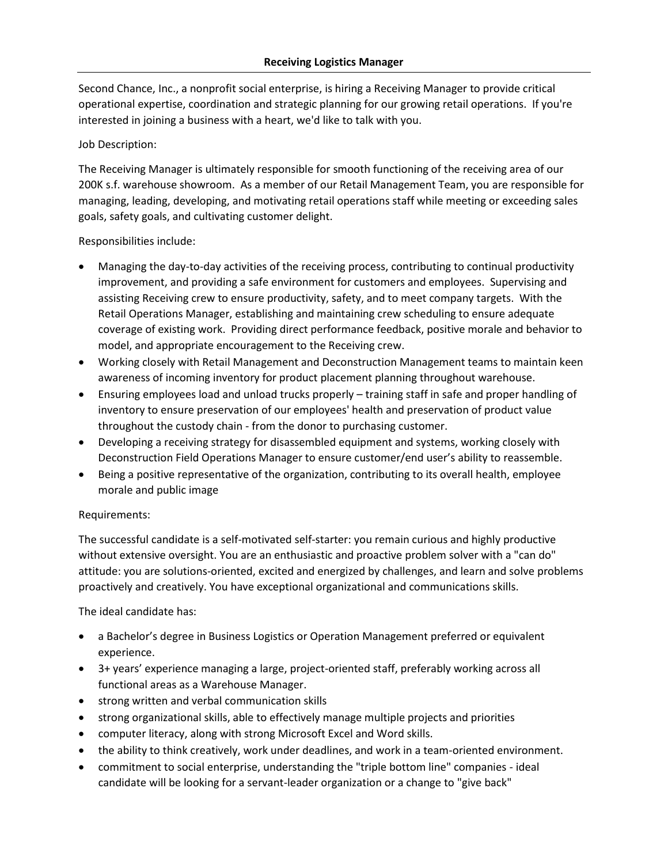Second Chance, Inc., a nonprofit social enterprise, is hiring a Receiving Manager to provide critical operational expertise, coordination and strategic planning for our growing retail operations. If you're interested in joining a business with a heart, we'd like to talk with you.

## Job Description:

The Receiving Manager is ultimately responsible for smooth functioning of the receiving area of our 200K s.f. warehouse showroom. As a member of our Retail Management Team, you are responsible for managing, leading, developing, and motivating retail operations staff while meeting or exceeding sales goals, safety goals, and cultivating customer delight.

## Responsibilities include:

- Managing the day-to-day activities of the receiving process, contributing to continual productivity improvement, and providing a safe environment for customers and employees. Supervising and assisting Receiving crew to ensure productivity, safety, and to meet company targets. With the Retail Operations Manager, establishing and maintaining crew scheduling to ensure adequate coverage of existing work. Providing direct performance feedback, positive morale and behavior to model, and appropriate encouragement to the Receiving crew.
- Working closely with Retail Management and Deconstruction Management teams to maintain keen awareness of incoming inventory for product placement planning throughout warehouse.
- Ensuring employees load and unload trucks properly training staff in safe and proper handling of inventory to ensure preservation of our employees' health and preservation of product value throughout the custody chain - from the donor to purchasing customer.
- Developing a receiving strategy for disassembled equipment and systems, working closely with Deconstruction Field Operations Manager to ensure customer/end user's ability to reassemble.
- Being a positive representative of the organization, contributing to its overall health, employee morale and public image

## Requirements:

The successful candidate is a self-motivated self-starter: you remain curious and highly productive without extensive oversight. You are an enthusiastic and proactive problem solver with a "can do" attitude: you are solutions-oriented, excited and energized by challenges, and learn and solve problems proactively and creatively. You have exceptional organizational and communications skills.

## The ideal candidate has:

- a Bachelor's degree in Business Logistics or Operation Management preferred or equivalent experience.
- 3+ years' experience managing a large, project-oriented staff, preferably working across all functional areas as a Warehouse Manager.
- strong written and verbal communication skills
- strong organizational skills, able to effectively manage multiple projects and priorities
- computer literacy, along with strong Microsoft Excel and Word skills.
- the ability to think creatively, work under deadlines, and work in a team-oriented environment.
- commitment to social enterprise, understanding the "triple bottom line" companies ideal candidate will be looking for a servant-leader organization or a change to "give back"